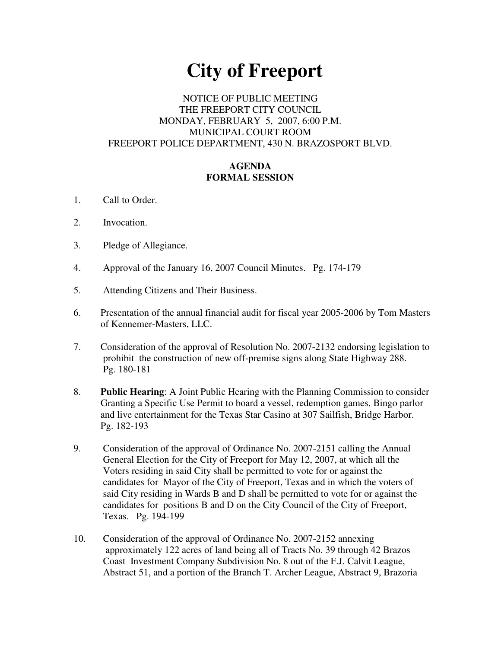# **City of Freeport**

## NOTICE OF PUBLIC MEETING THE FREEPORT CITY COUNCIL MONDAY, FEBRUARY 5, 2007, 6:00 P.M. MUNICIPAL COURT ROOM FREEPORT POLICE DEPARTMENT, 430 N. BRAZOSPORT BLVD.

## **AGENDA FORMAL SESSION**

- 1. Call to Order.
- 2. Invocation.
- 3. Pledge of Allegiance.
- 4. Approval of the January 16, 2007 Council Minutes. Pg. 174-179
- 5. Attending Citizens and Their Business.
- 6. Presentation of the annual financial audit for fiscal year 2005-2006 by Tom Masters of Kennemer-Masters, LLC.
- 7. Consideration of the approval of Resolution No. 2007-2132 endorsing legislation to prohibit the construction of new off-premise signs along State Highway 288. Pg. 180-181
- 8. **Public Hearing**: A Joint Public Hearing with the Planning Commission to consider Granting a Specific Use Permit to board a vessel, redemption games, Bingo parlor and live entertainment for the Texas Star Casino at 307 Sailfish, Bridge Harbor. Pg. 182-193
- 9. Consideration of the approval of Ordinance No. 2007-2151 calling the Annual General Election for the City of Freeport for May 12, 2007, at which all the Voters residing in said City shall be permitted to vote for or against the candidates for Mayor of the City of Freeport, Texas and in which the voters of said City residing in Wards B and D shall be permitted to vote for or against the candidates for positions B and D on the City Council of the City of Freeport, Texas. Pg. 194-199
- 10. Consideration of the approval of Ordinance No. 2007-2152 annexing approximately 122 acres of land being all of Tracts No. 39 through 42 Brazos Coast Investment Company Subdivision No. 8 out of the F.J. Calvit League, Abstract 51, and a portion of the Branch T. Archer League, Abstract 9, Brazoria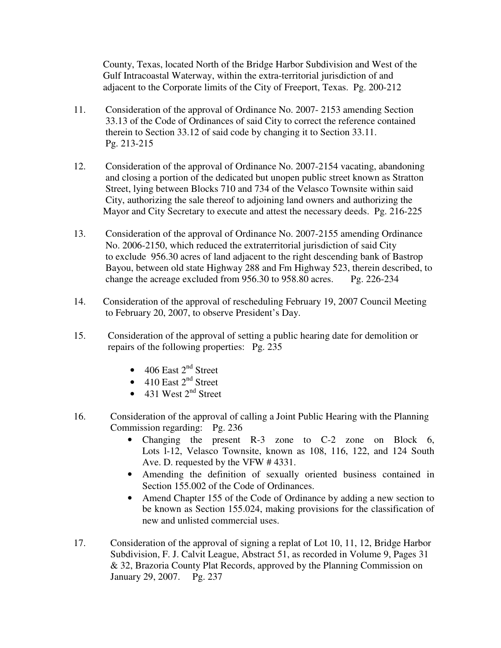County, Texas, located North of the Bridge Harbor Subdivision and West of the Gulf Intracoastal Waterway, within the extra-territorial jurisdiction of and adjacent to the Corporate limits of the City of Freeport, Texas. Pg. 200-212

- 11. Consideration of the approval of Ordinance No. 2007- 2153 amending Section 33.13 of the Code of Ordinances of said City to correct the reference contained therein to Section 33.12 of said code by changing it to Section 33.11. Pg. 213-215
- 12. Consideration of the approval of Ordinance No. 2007-2154 vacating, abandoning and closing a portion of the dedicated but unopen public street known as Stratton Street, lying between Blocks 710 and 734 of the Velasco Townsite within said City, authorizing the sale thereof to adjoining land owners and authorizing the Mayor and City Secretary to execute and attest the necessary deeds. Pg. 216-225
- 13. Consideration of the approval of Ordinance No. 2007-2155 amending Ordinance No. 2006-2150, which reduced the extraterritorial jurisdiction of said City to exclude 956.30 acres of land adjacent to the right descending bank of Bastrop Bayou, between old state Highway 288 and Fm Highway 523, therein described, to change the acreage excluded from 956.30 to 958.80 acres. Pg. 226-234
- 14. Consideration of the approval of rescheduling February 19, 2007 Council Meeting to February 20, 2007, to observe President's Day.
- 15. Consideration of the approval of setting a public hearing date for demolition or repairs of the following properties: Pg. 235
	- 406 East  $2<sup>nd</sup>$  Street
	- 410 East  $2<sup>nd</sup>$  Street
	- 431 West  $2<sup>nd</sup>$  Street
- 16. Consideration of the approval of calling a Joint Public Hearing with the Planning Commission regarding: Pg. 236
	- Changing the present R-3 zone to C-2 zone on Block 6, Lots l-12, Velasco Townsite, known as 108, 116, 122, and 124 South Ave. D. requested by the VFW # 4331.
	- Amending the definition of sexually oriented business contained in Section 155.002 of the Code of Ordinances.
	- Amend Chapter 155 of the Code of Ordinance by adding a new section to be known as Section 155.024, making provisions for the classification of new and unlisted commercial uses.
- 17. Consideration of the approval of signing a replat of Lot 10, 11, 12, Bridge Harbor Subdivision, F. J. Calvit League, Abstract 51, as recorded in Volume 9, Pages 31 & 32, Brazoria County Plat Records, approved by the Planning Commission on January 29, 2007. Pg. 237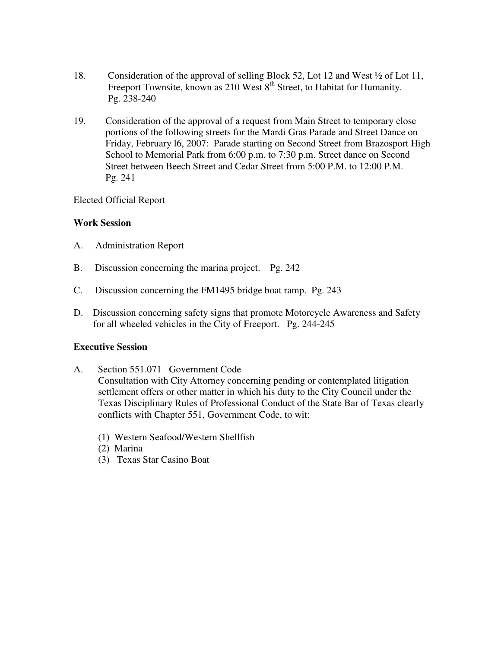- 18. Consideration of the approval of selling Block 52, Lot 12 and West ½ of Lot 11, Freeport Townsite, known as 210 West 8<sup>th</sup> Street, to Habitat for Humanity. Pg. 238-240
- 19. Consideration of the approval of a request from Main Street to temporary close portions of the following streets for the Mardi Gras Parade and Street Dance on Friday, February l6, 2007: Parade starting on Second Street from Brazosport High School to Memorial Park from 6:00 p.m. to 7:30 p.m. Street dance on Second Street between Beech Street and Cedar Street from 5:00 P.M. to 12:00 P.M. Pg. 241

### Elected Official Report

## **Work Session**

- A. Administration Report
- B. Discussion concerning the marina project. Pg. 242
- C. Discussion concerning the FM1495 bridge boat ramp. Pg. 243
- D. Discussion concerning safety signs that promote Motorcycle Awareness and Safety for all wheeled vehicles in the City of Freeport. Pg. 244-245

### **Executive Session**

- A. Section 551.071 Government Code Consultation with City Attorney concerning pending or contemplated litigation settlement offers or other matter in which his duty to the City Council under the Texas Disciplinary Rules of Professional Conduct of the State Bar of Texas clearly conflicts with Chapter 551, Government Code, to wit:
	- (1) Western Seafood/Western Shellfish
	- (2) Marina
	- (3) Texas Star Casino Boat